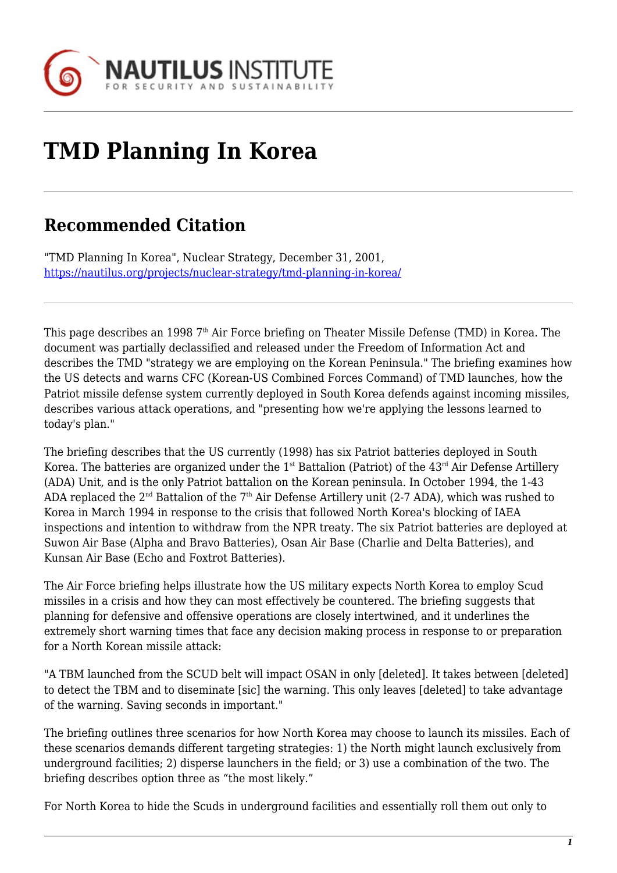

## **TMD Planning In Korea**

## **Recommended Citation**

"TMD Planning In Korea", Nuclear Strategy, December 31, 2001, <https://nautilus.org/projects/nuclear-strategy/tmd-planning-in-korea/>

This page describes an 1998 7<sup>th</sup> Air Force briefing on Theater Missile Defense (TMD) in Korea. The document was partially declassified and released under the Freedom of Information Act and describes the TMD "strategy we are employing on the Korean Peninsula." The briefing examines how the US detects and warns CFC (Korean-US Combined Forces Command) of TMD launches, how the Patriot missile defense system currently deployed in South Korea defends against incoming missiles, describes various attack operations, and "presenting how we're applying the lessons learned to today's plan."

The briefing describes that the US currently (1998) has six Patriot batteries deployed in South Korea. The batteries are organized under the  $1<sup>st</sup>$  Battalion (Patriot) of the  $43<sup>rd</sup>$  Air Defense Artillery (ADA) Unit, and is the only Patriot battalion on the Korean peninsula. In October 1994, the 1-43 ADA replaced the  $2<sup>nd</sup>$  Battalion of the  $7<sup>th</sup>$  Air Defense Artillery unit (2-7 ADA), which was rushed to Korea in March 1994 in response to the crisis that followed North Korea's blocking of IAEA inspections and intention to withdraw from the NPR treaty. The six Patriot batteries are deployed at Suwon Air Base (Alpha and Bravo Batteries), Osan Air Base (Charlie and Delta Batteries), and Kunsan Air Base (Echo and Foxtrot Batteries).

The Air Force briefing helps illustrate how the US military expects North Korea to employ Scud missiles in a crisis and how they can most effectively be countered. The briefing suggests that planning for defensive and offensive operations are closely intertwined, and it underlines the extremely short warning times that face any decision making process in response to or preparation for a North Korean missile attack:

"A TBM launched from the SCUD belt will impact OSAN in only [deleted]. It takes between [deleted] to detect the TBM and to diseminate [sic] the warning. This only leaves [deleted] to take advantage of the warning. Saving seconds in important."

The briefing outlines three scenarios for how North Korea may choose to launch its missiles. Each of these scenarios demands different targeting strategies: 1) the North might launch exclusively from underground facilities; 2) disperse launchers in the field; or 3) use a combination of the two. The briefing describes option three as "the most likely."

For North Korea to hide the Scuds in underground facilities and essentially roll them out only to